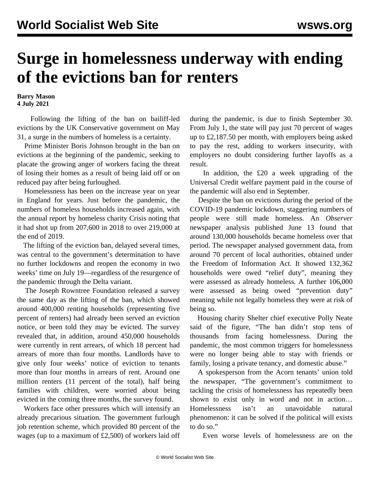## **Surge in homelessness underway with ending of the evictions ban for renters**

**Barry Mason 4 July 2021**

 Following the lifting of the ban on bailiff-led evictions by the UK Conservative government on May 31, a surge in the numbers of homeless is a certainty.

 Prime Minister Boris Johnson brought in the ban on evictions at the beginning of the pandemic, seeking to placate the growing anger of workers facing the threat of losing their homes as a result of being laid off or on reduced pay after being furloughed.

 Homelessness has been on the increase year on year in England for years. Just before the pandemic, the numbers of homeless households increased again, with the annual report by homeless charity Crisis noting that it had shot up from 207,600 in 2018 to over 219,000 at the end of 2019.

 The lifting of the eviction ban, delayed several times, was central to the government's determination to have no further lockdowns and reopen the economy in two weeks' time on July 19—regardless of the resurgence of the pandemic through the Delta variant.

 The Joseph Rowntree Foundation released a survey the same day as the lifting of the ban, which showed around 400,000 renting households (representing five percent of renters) had already been served an eviction notice, or been told they may be evicted. The survey revealed that, in addition, around 450,000 households were currently in rent arrears, of which 18 percent had arrears of more than four months. Landlords have to give only four weeks' notice of eviction to tenants more than four months in arrears of rent. Around one million renters (11 percent of the total), half being families with children, were worried about being evicted in the coming three months, the survey found.

 Workers face other pressures which will intensify an already precarious situation. The government furlough job retention scheme, which provided 80 percent of the wages (up to a maximum of £2,500) of workers laid off during the pandemic, is due to finish September 30. From July 1, the state will pay just 70 percent of wages up to £2,187.50 per month, with employers being asked to pay the rest, adding to workers insecurity, with employers no doubt considering further layoffs as a result.

 In addition, the £20 a week upgrading of the Universal Credit welfare payment paid in the course of the pandemic will also end in September.

 Despite the ban on evictions during the period of the COVID-19 pandemic lockdown, staggering numbers of people were still made homeless. An *Observer* newspaper analysis published June 13 found that around 130,000 households became homeless over that period. The newspaper analysed government data, from around 70 percent of local authorities, obtained under the Freedom of Information Act. It showed 132,362 households were owed "relief duty", meaning they were assessed as already homeless. A further 106,000 were assessed as being owed "prevention duty" meaning while not legally homeless they were at risk of being so.

 Housing charity Shelter chief executive Polly Neate said of the figure, "The ban didn't stop tens of thousands from facing homelessness. During the pandemic, the most common triggers for homelessness were no longer being able to stay with friends or family, losing a private tenancy, and domestic abuse."

 A spokesperson from the Acorn tenants' union told the newspaper, "The government's commitment to tackling the crisis of homelessness has repeatedly been shown to exist only in word and not in action… Homelessness isn't an unavoidable natural phenomenon: it can be solved if the political will exists to do so."

Even worse levels of homelessness are on the